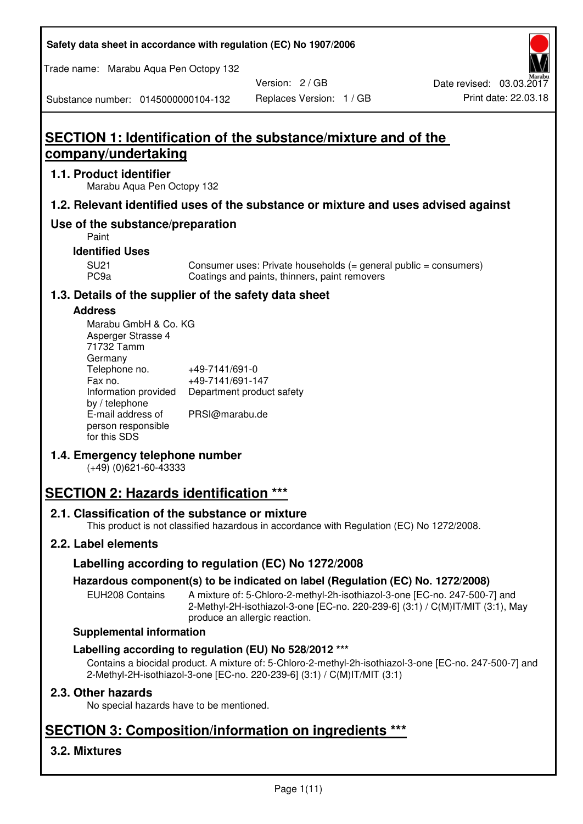**Safety data sheet in accordance with regulation (EC) No 1907/2006** 

Trade name: Marabu Aqua Pen Octopy 132

Version: 2 / GB

Substance number: 0145000000104-132

# **SECTION 1: Identification of the substance/mixture and of the company/undertaking**

### **1.1. Product identifier**

Marabu Aqua Pen Octopy 132

# **1.2. Relevant identified uses of the substance or mixture and uses advised against**

# **Use of the substance/preparation**

Paint

# **Identified Uses**

SU21 Consumer uses: Private households (= general public = consumers)<br>PC9a Coatings and paints, thinners, paint removers Coatings and paints, thinners, paint removers

# **1.3. Details of the supplier of the safety data sheet**

### **Address**

| Marabu GmbH & Co. KG |                           |
|----------------------|---------------------------|
| Asperger Strasse 4   |                           |
| 71732 Tamm           |                           |
| Germany              |                           |
| Telephone no.        | +49-7141/691-0            |
| Fax no.              | +49-7141/691-147          |
| Information provided | Department product safety |
| by / telephone       |                           |
| E-mail address of    | PRSI@marabu.de            |
| person responsible   |                           |
| for this SDS         |                           |

# **1.4. Emergency telephone number**

(+49) (0)621-60-43333

# **SECTION 2: Hazards identification \*\*\***

# **2.1. Classification of the substance or mixture**

This product is not classified hazardous in accordance with Regulation (EC) No 1272/2008.

# **2.2. Label elements**

# **Labelling according to regulation (EC) No 1272/2008**

# **Hazardous component(s) to be indicated on label (Regulation (EC) No. 1272/2008)**

EUH208 Contains A mixture of: 5-Chloro-2-methyl-2h-isothiazol-3-one [EC-no. 247-500-7] and 2-Methyl-2H-isothiazol-3-one [EC-no. 220-239-6] (3:1) / C(M)IT/MIT (3:1), May produce an allergic reaction.

#### **Supplemental information**

# **Labelling according to regulation (EU) No 528/2012 \*\*\***

Contains a biocidal product. A mixture of: 5-Chloro-2-methyl-2h-isothiazol-3-one [EC-no. 247-500-7] and 2-Methyl-2H-isothiazol-3-one [EC-no. 220-239-6] (3:1) / C(M)IT/MIT (3:1)

# **2.3. Other hazards**

No special hazards have to be mentioned.

# **SECTION 3: Composition/information on ingredients \*\*\***

# **3.2. Mixtures**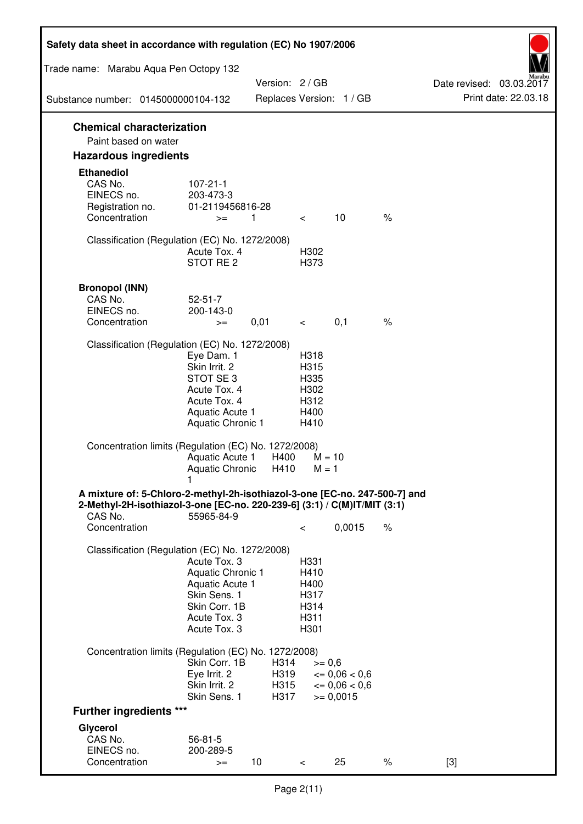| Safety data sheet in accordance with regulation (EC) No 1907/2006                                                                                                 |                                                                                                                       |                              |                                                      |                                                                  |      |                                                  |
|-------------------------------------------------------------------------------------------------------------------------------------------------------------------|-----------------------------------------------------------------------------------------------------------------------|------------------------------|------------------------------------------------------|------------------------------------------------------------------|------|--------------------------------------------------|
| Trade name: Marabu Aqua Pen Octopy 132                                                                                                                            |                                                                                                                       |                              |                                                      |                                                                  |      |                                                  |
| Substance number: 0145000000104-132                                                                                                                               |                                                                                                                       | Version: 2 / GB              |                                                      | Replaces Version: 1 / GB                                         |      | Date revised: 03.03.2017<br>Print date: 22.03.18 |
|                                                                                                                                                                   |                                                                                                                       |                              |                                                      |                                                                  |      |                                                  |
| <b>Chemical characterization</b><br>Paint based on water                                                                                                          |                                                                                                                       |                              |                                                      |                                                                  |      |                                                  |
| <b>Hazardous ingredients</b>                                                                                                                                      |                                                                                                                       |                              |                                                      |                                                                  |      |                                                  |
| <b>Ethanediol</b><br>CAS No.<br>EINECS no.<br>Registration no.<br>Concentration                                                                                   | $107 - 21 - 1$<br>203-473-3<br>01-2119456816-28<br>$>=$                                                               | 1                            | $\lt$ $\sim$                                         | 10                                                               | $\%$ |                                                  |
| Classification (Regulation (EC) No. 1272/2008)                                                                                                                    | Acute Tox. 4<br>STOT RE 2                                                                                             |                              | H302<br>H373                                         |                                                                  |      |                                                  |
| <b>Bronopol (INN)</b><br>CAS No.<br>EINECS no.<br>Concentration                                                                                                   | $52 - 51 - 7$<br>200-143-0<br>$>=$                                                                                    | 0,01                         | $\lt$ $\sim$                                         | 0,1                                                              | $\%$ |                                                  |
| Classification (Regulation (EC) No. 1272/2008)                                                                                                                    |                                                                                                                       |                              |                                                      |                                                                  |      |                                                  |
|                                                                                                                                                                   | Eye Dam. 1<br>Skin Irrit. 2<br>STOT SE3<br>Acute Tox. 4<br>Acute Tox. 4<br>Aquatic Acute 1<br>Aquatic Chronic 1       |                              | H318<br>H315<br>H335<br>H302<br>H312<br>H400<br>H410 |                                                                  |      |                                                  |
| Concentration limits (Regulation (EC) No. 1272/2008)                                                                                                              | Aquatic Acute 1<br>Aquatic Chronic $H410$ M = 1                                                                       | H400                         | $M = 10$                                             |                                                                  |      |                                                  |
| A mixture of: 5-Chloro-2-methyl-2h-isothiazol-3-one [EC-no. 247-500-7] and<br>2-Methyl-2H-isothiazol-3-one [EC-no. 220-239-6] (3:1) / C(M)IT/MIT (3:1)<br>CAS No. | 55965-84-9                                                                                                            |                              |                                                      |                                                                  |      |                                                  |
| Concentration                                                                                                                                                     |                                                                                                                       |                              | $\,<\,$                                              | 0,0015                                                           | $\%$ |                                                  |
| Classification (Regulation (EC) No. 1272/2008)                                                                                                                    | Acute Tox. 3<br>Aquatic Chronic 1<br>Aquatic Acute 1<br>Skin Sens. 1<br>Skin Corr. 1B<br>Acute Tox. 3<br>Acute Tox. 3 |                              | H331<br>H410<br>H400<br>H317<br>H314<br>H311<br>H301 |                                                                  |      |                                                  |
| Concentration limits (Regulation (EC) No. 1272/2008)                                                                                                              |                                                                                                                       |                              |                                                      |                                                                  |      |                                                  |
|                                                                                                                                                                   | Skin Corr. 1B<br>Eye Irrit. 2<br>Skin Irrit. 2<br>Skin Sens. 1                                                        | H314<br>H319<br>H315<br>H317 | $>= 0,6$                                             | $\epsilon = 0.06 < 0.6$<br>$\epsilon = 0.06 < 0.6$<br>$= 0,0015$ |      |                                                  |
| <b>Further ingredients ***</b>                                                                                                                                    |                                                                                                                       |                              |                                                      |                                                                  |      |                                                  |
| Glycerol<br>CAS No.<br>EINECS no.<br>Concentration                                                                                                                | $56 - 81 - 5$<br>200-289-5<br>$>=$                                                                                    | 10 <sup>°</sup>              | $\,<\,$                                              | 25                                                               | $\%$ | $[3]$                                            |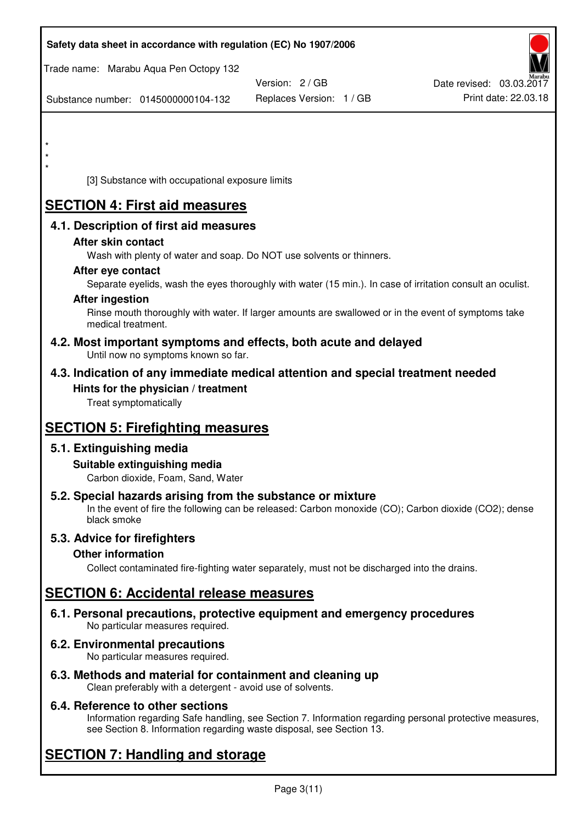| Safety data sheet in accordance with regulation (EC) No 1907/2006                                                                                                   |                          |                          |
|---------------------------------------------------------------------------------------------------------------------------------------------------------------------|--------------------------|--------------------------|
| Trade name: Marabu Aqua Pen Octopy 132                                                                                                                              |                          |                          |
|                                                                                                                                                                     | Version: 2 / GB          | Date revised: 03.03.2017 |
| Substance number: 0145000000104-132                                                                                                                                 | Replaces Version: 1 / GB | Print date: 22.03.18     |
|                                                                                                                                                                     |                          |                          |
| $\star$                                                                                                                                                             |                          |                          |
|                                                                                                                                                                     |                          |                          |
| $\star$                                                                                                                                                             |                          |                          |
| [3] Substance with occupational exposure limits                                                                                                                     |                          |                          |
| <b>SECTION 4: First aid measures</b>                                                                                                                                |                          |                          |
| 4.1. Description of first aid measures                                                                                                                              |                          |                          |
| After skin contact                                                                                                                                                  |                          |                          |
| Wash with plenty of water and soap. Do NOT use solvents or thinners.                                                                                                |                          |                          |
| After eye contact                                                                                                                                                   |                          |                          |
| Separate eyelids, wash the eyes thoroughly with water (15 min.). In case of irritation consult an oculist.                                                          |                          |                          |
| <b>After ingestion</b><br>Rinse mouth thoroughly with water. If larger amounts are swallowed or in the event of symptoms take                                       |                          |                          |
| medical treatment.                                                                                                                                                  |                          |                          |
| 4.2. Most important symptoms and effects, both acute and delayed<br>Until now no symptoms known so far.                                                             |                          |                          |
| 4.3. Indication of any immediate medical attention and special treatment needed                                                                                     |                          |                          |
| Hints for the physician / treatment                                                                                                                                 |                          |                          |
| Treat symptomatically                                                                                                                                               |                          |                          |
|                                                                                                                                                                     |                          |                          |
| <b>SECTION 5: Firefighting measures</b>                                                                                                                             |                          |                          |
| 5.1. Extinguishing media                                                                                                                                            |                          |                          |
| Suitable extinguishing media<br>Carbon dioxide, Foam, Sand, Water                                                                                                   |                          |                          |
|                                                                                                                                                                     |                          |                          |
| 5.2. Special hazards arising from the substance or mixture<br>In the event of fire the following can be released: Carbon monoxide (CO); Carbon dioxide (CO2); dense |                          |                          |
| black smoke                                                                                                                                                         |                          |                          |
| 5.3. Advice for firefighters                                                                                                                                        |                          |                          |
| <b>Other information</b>                                                                                                                                            |                          |                          |
| Collect contaminated fire-fighting water separately, must not be discharged into the drains.                                                                        |                          |                          |
| <b>SECTION 6: Accidental release measures</b>                                                                                                                       |                          |                          |
| 6.1. Personal precautions, protective equipment and emergency procedures<br>No particular measures required.                                                        |                          |                          |
| 6.2. Environmental precautions<br>No particular measures required.                                                                                                  |                          |                          |
|                                                                                                                                                                     |                          |                          |

**6.3. Methods and material for containment and cleaning up**  Clean preferably with a detergent - avoid use of solvents.

# **6.4. Reference to other sections**

Information regarding Safe handling, see Section 7. Information regarding personal protective measures, see Section 8. Information regarding waste disposal, see Section 13.

# **SECTION 7: Handling and storage**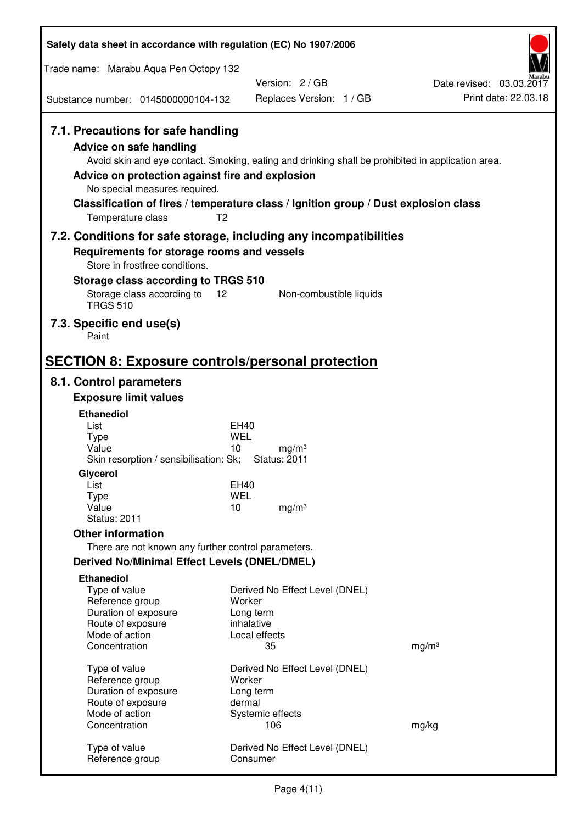| Safety data sheet in accordance with regulation (EC) No 1907/2006                                                                                                             |                                                                                                                                                                                                            |                                                  |
|-------------------------------------------------------------------------------------------------------------------------------------------------------------------------------|------------------------------------------------------------------------------------------------------------------------------------------------------------------------------------------------------------|--------------------------------------------------|
| Trade name: Marabu Aqua Pen Octopy 132                                                                                                                                        |                                                                                                                                                                                                            |                                                  |
| Substance number: 0145000000104-132                                                                                                                                           | Version: 2/GB<br>Replaces Version: 1 / GB                                                                                                                                                                  | Date revised: 03.03.2017<br>Print date: 22.03.18 |
|                                                                                                                                                                               |                                                                                                                                                                                                            |                                                  |
| 7.1. Precautions for safe handling<br><b>Advice on safe handling</b><br>Advice on protection against fire and explosion<br>No special measures required.<br>Temperature class | Avoid skin and eye contact. Smoking, eating and drinking shall be prohibited in application area.<br>Classification of fires / temperature class / Ignition group / Dust explosion class<br>T <sub>2</sub> |                                                  |
|                                                                                                                                                                               | 7.2. Conditions for safe storage, including any incompatibilities                                                                                                                                          |                                                  |
| Requirements for storage rooms and vessels<br>Store in frostfree conditions.<br>Storage class according to TRGS 510                                                           |                                                                                                                                                                                                            |                                                  |
| Storage class according to<br><b>TRGS 510</b>                                                                                                                                 | 12<br>Non-combustible liquids                                                                                                                                                                              |                                                  |
| 7.3. Specific end use(s)<br>Paint                                                                                                                                             |                                                                                                                                                                                                            |                                                  |
| <b>SECTION 8: Exposure controls/personal protection</b>                                                                                                                       |                                                                                                                                                                                                            |                                                  |
| 8.1. Control parameters                                                                                                                                                       |                                                                                                                                                                                                            |                                                  |
| <b>Exposure limit values</b>                                                                                                                                                  |                                                                                                                                                                                                            |                                                  |
| <b>Ethanediol</b>                                                                                                                                                             |                                                                                                                                                                                                            |                                                  |
| List<br><b>Type</b>                                                                                                                                                           | EH40<br>WEL                                                                                                                                                                                                |                                                  |
| Value<br>Skin resorption / sensibilisation: Sk;                                                                                                                               | 10<br>mg/m <sup>3</sup><br><b>Status: 2011</b>                                                                                                                                                             |                                                  |
| Glycerol                                                                                                                                                                      |                                                                                                                                                                                                            |                                                  |
| List                                                                                                                                                                          | <b>EH40</b>                                                                                                                                                                                                |                                                  |
| <b>Type</b><br>Value                                                                                                                                                          | <b>WEL</b><br>10<br>mg/m <sup>3</sup>                                                                                                                                                                      |                                                  |
| <b>Status: 2011</b>                                                                                                                                                           |                                                                                                                                                                                                            |                                                  |
| <b>Other information</b>                                                                                                                                                      |                                                                                                                                                                                                            |                                                  |
| There are not known any further control parameters.                                                                                                                           |                                                                                                                                                                                                            |                                                  |
| <b>Derived No/Minimal Effect Levels (DNEL/DMEL)</b>                                                                                                                           |                                                                                                                                                                                                            |                                                  |
| <b>Ethanediol</b>                                                                                                                                                             |                                                                                                                                                                                                            |                                                  |
| Type of value                                                                                                                                                                 | Derived No Effect Level (DNEL)                                                                                                                                                                             |                                                  |
| Reference group<br>Duration of exposure                                                                                                                                       | Worker<br>Long term                                                                                                                                                                                        |                                                  |
| Route of exposure                                                                                                                                                             | inhalative                                                                                                                                                                                                 |                                                  |
| Mode of action                                                                                                                                                                | Local effects                                                                                                                                                                                              |                                                  |
| Concentration                                                                                                                                                                 | 35                                                                                                                                                                                                         | mg/m <sup>3</sup>                                |
| Type of value                                                                                                                                                                 | Derived No Effect Level (DNEL)                                                                                                                                                                             |                                                  |
| Reference group                                                                                                                                                               | Worker                                                                                                                                                                                                     |                                                  |
| Duration of exposure                                                                                                                                                          | Long term                                                                                                                                                                                                  |                                                  |
| Route of exposure<br>Mode of action                                                                                                                                           | dermal<br>Systemic effects                                                                                                                                                                                 |                                                  |
| Concentration                                                                                                                                                                 | 106                                                                                                                                                                                                        | mg/kg                                            |
| Type of value<br>Reference group                                                                                                                                              | Derived No Effect Level (DNEL)<br>Consumer                                                                                                                                                                 |                                                  |
|                                                                                                                                                                               |                                                                                                                                                                                                            |                                                  |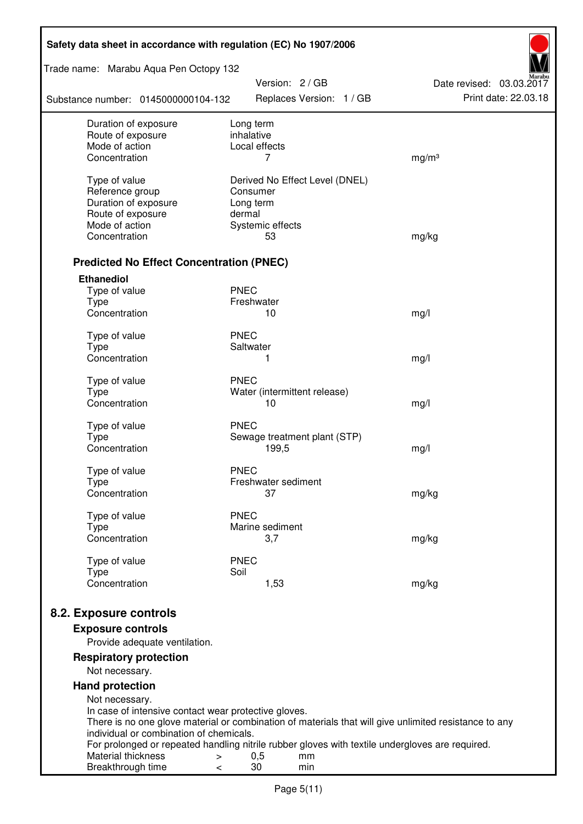| Safety data sheet in accordance with regulation (EC) No 1907/2006 |                                                                                                              |                          |  |  |  |
|-------------------------------------------------------------------|--------------------------------------------------------------------------------------------------------------|--------------------------|--|--|--|
| Trade name: Marabu Aqua Pen Octopy 132                            | Version: 2 / GB                                                                                              | Date revised: 03.03.2017 |  |  |  |
| Substance number: 0145000000104-132                               | Replaces Version: 1 / GB                                                                                     | Print date: 22.03.18     |  |  |  |
| Duration of exposure                                              | Long term                                                                                                    |                          |  |  |  |
| Route of exposure<br>Mode of action                               | inhalative<br>Local effects                                                                                  |                          |  |  |  |
| Concentration                                                     | 7                                                                                                            | mg/m <sup>3</sup>        |  |  |  |
|                                                                   |                                                                                                              |                          |  |  |  |
| Type of value                                                     | Derived No Effect Level (DNEL)                                                                               |                          |  |  |  |
| Reference group                                                   | Consumer                                                                                                     |                          |  |  |  |
| Duration of exposure<br>Route of exposure                         | Long term<br>dermal                                                                                          |                          |  |  |  |
| Mode of action                                                    | Systemic effects                                                                                             |                          |  |  |  |
| Concentration                                                     | 53                                                                                                           | mg/kg                    |  |  |  |
|                                                                   |                                                                                                              |                          |  |  |  |
| <b>Predicted No Effect Concentration (PNEC)</b>                   |                                                                                                              |                          |  |  |  |
| <b>Ethanediol</b>                                                 |                                                                                                              |                          |  |  |  |
| Type of value<br><b>Type</b>                                      | <b>PNEC</b><br>Freshwater                                                                                    |                          |  |  |  |
| Concentration                                                     | 10                                                                                                           | mg/l                     |  |  |  |
|                                                                   |                                                                                                              |                          |  |  |  |
| Type of value                                                     | <b>PNEC</b>                                                                                                  |                          |  |  |  |
| <b>Type</b>                                                       | Saltwater                                                                                                    |                          |  |  |  |
| Concentration                                                     | 1                                                                                                            | mg/l                     |  |  |  |
| Type of value                                                     | <b>PNEC</b>                                                                                                  |                          |  |  |  |
| <b>Type</b>                                                       | Water (intermittent release)                                                                                 |                          |  |  |  |
| Concentration                                                     | 10                                                                                                           | mg/l                     |  |  |  |
| Type of value                                                     | <b>PNEC</b>                                                                                                  |                          |  |  |  |
| <b>Type</b>                                                       | Sewage treatment plant (STP)                                                                                 |                          |  |  |  |
| Concentration                                                     | 199,5                                                                                                        | mg/l                     |  |  |  |
| Type of value                                                     | <b>PNEC</b>                                                                                                  |                          |  |  |  |
| Type                                                              | Freshwater sediment                                                                                          |                          |  |  |  |
| Concentration                                                     | 37                                                                                                           | mg/kg                    |  |  |  |
| Type of value                                                     | <b>PNEC</b>                                                                                                  |                          |  |  |  |
| <b>Type</b>                                                       | Marine sediment                                                                                              |                          |  |  |  |
| Concentration                                                     | 3,7                                                                                                          | mg/kg                    |  |  |  |
|                                                                   |                                                                                                              |                          |  |  |  |
| Type of value<br><b>Type</b>                                      | <b>PNEC</b><br>Soil                                                                                          |                          |  |  |  |
| Concentration                                                     | 1,53                                                                                                         | mg/kg                    |  |  |  |
|                                                                   |                                                                                                              |                          |  |  |  |
| 8.2. Exposure controls                                            |                                                                                                              |                          |  |  |  |
| <b>Exposure controls</b>                                          |                                                                                                              |                          |  |  |  |
| Provide adequate ventilation.                                     |                                                                                                              |                          |  |  |  |
| <b>Respiratory protection</b><br>Not necessary.                   |                                                                                                              |                          |  |  |  |
| <b>Hand protection</b>                                            |                                                                                                              |                          |  |  |  |
| Not necessary.                                                    |                                                                                                              |                          |  |  |  |
| In case of intensive contact wear protective gloves.              |                                                                                                              |                          |  |  |  |
|                                                                   | There is no one glove material or combination of materials that will give unlimited resistance to any        |                          |  |  |  |
| individual or combination of chemicals.                           |                                                                                                              |                          |  |  |  |
| Material thickness<br>>                                           | For prolonged or repeated handling nitrile rubber gloves with textile undergloves are required.<br>0,5<br>mm |                          |  |  |  |
| Breakthrough time<br><                                            | 30<br>min                                                                                                    |                          |  |  |  |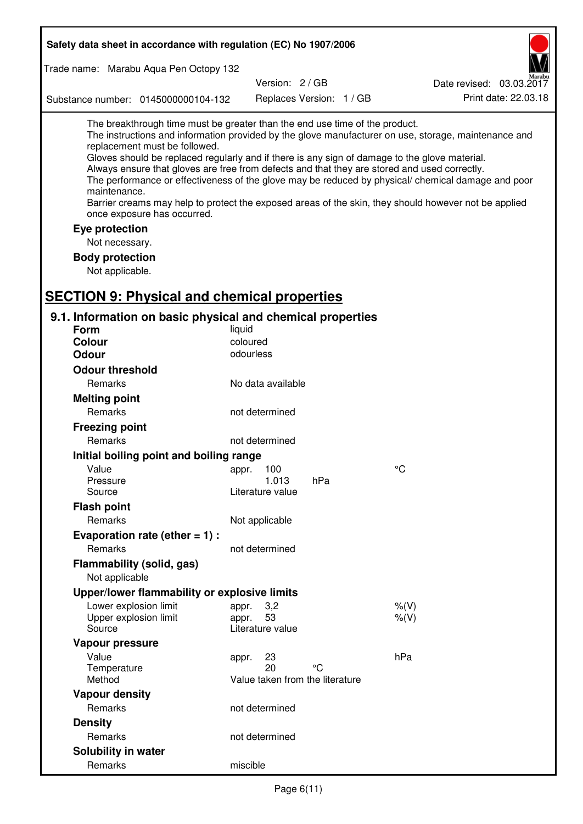| Safety data sheet in accordance with regulation (EC) No 1907/2006                                                                                                                                                                                                                                                                                            |                   |                                 |     |                                                                                                                                                                                                                                                                                                                    |
|--------------------------------------------------------------------------------------------------------------------------------------------------------------------------------------------------------------------------------------------------------------------------------------------------------------------------------------------------------------|-------------------|---------------------------------|-----|--------------------------------------------------------------------------------------------------------------------------------------------------------------------------------------------------------------------------------------------------------------------------------------------------------------------|
| Trade name: Marabu Aqua Pen Octopy 132                                                                                                                                                                                                                                                                                                                       |                   |                                 |     |                                                                                                                                                                                                                                                                                                                    |
|                                                                                                                                                                                                                                                                                                                                                              |                   | Version: 2 / GB                 |     | Date revised: 03.03.2017                                                                                                                                                                                                                                                                                           |
| Substance number: 0145000000104-132                                                                                                                                                                                                                                                                                                                          |                   | Replaces Version: 1 / GB        |     | Print date: 22.03.18                                                                                                                                                                                                                                                                                               |
| The breakthrough time must be greater than the end use time of the product.<br>replacement must be followed.<br>Gloves should be replaced regularly and if there is any sign of damage to the glove material.<br>Always ensure that gloves are free from defects and that they are stored and used correctly.<br>maintenance.<br>once exposure has occurred. |                   |                                 |     | The instructions and information provided by the glove manufacturer on use, storage, maintenance and<br>The performance or effectiveness of the glove may be reduced by physical/ chemical damage and poor<br>Barrier creams may help to protect the exposed areas of the skin, they should however not be applied |
| Eye protection                                                                                                                                                                                                                                                                                                                                               |                   |                                 |     |                                                                                                                                                                                                                                                                                                                    |
| Not necessary.                                                                                                                                                                                                                                                                                                                                               |                   |                                 |     |                                                                                                                                                                                                                                                                                                                    |
| <b>Body protection</b>                                                                                                                                                                                                                                                                                                                                       |                   |                                 |     |                                                                                                                                                                                                                                                                                                                    |
| Not applicable.                                                                                                                                                                                                                                                                                                                                              |                   |                                 |     |                                                                                                                                                                                                                                                                                                                    |
|                                                                                                                                                                                                                                                                                                                                                              |                   |                                 |     |                                                                                                                                                                                                                                                                                                                    |
| <b>SECTION 9: Physical and chemical properties</b>                                                                                                                                                                                                                                                                                                           |                   |                                 |     |                                                                                                                                                                                                                                                                                                                    |
| 9.1. Information on basic physical and chemical properties                                                                                                                                                                                                                                                                                                   |                   |                                 |     |                                                                                                                                                                                                                                                                                                                    |
| <b>Form</b>                                                                                                                                                                                                                                                                                                                                                  | liquid            |                                 |     |                                                                                                                                                                                                                                                                                                                    |
| <b>Colour</b>                                                                                                                                                                                                                                                                                                                                                | coloured          |                                 |     |                                                                                                                                                                                                                                                                                                                    |
| <b>Odour</b>                                                                                                                                                                                                                                                                                                                                                 | odourless         |                                 |     |                                                                                                                                                                                                                                                                                                                    |
| <b>Odour threshold</b>                                                                                                                                                                                                                                                                                                                                       |                   |                                 |     |                                                                                                                                                                                                                                                                                                                    |
| Remarks                                                                                                                                                                                                                                                                                                                                                      | No data available |                                 |     |                                                                                                                                                                                                                                                                                                                    |
| <b>Melting point</b>                                                                                                                                                                                                                                                                                                                                         |                   |                                 |     |                                                                                                                                                                                                                                                                                                                    |
| Remarks                                                                                                                                                                                                                                                                                                                                                      | not determined    |                                 |     |                                                                                                                                                                                                                                                                                                                    |
| <b>Freezing point</b>                                                                                                                                                                                                                                                                                                                                        |                   |                                 |     |                                                                                                                                                                                                                                                                                                                    |
| Remarks                                                                                                                                                                                                                                                                                                                                                      | not determined    |                                 |     |                                                                                                                                                                                                                                                                                                                    |
| Initial boiling point and boiling range                                                                                                                                                                                                                                                                                                                      |                   |                                 |     |                                                                                                                                                                                                                                                                                                                    |
| Value                                                                                                                                                                                                                                                                                                                                                        | appr. 100         |                                 |     | °C                                                                                                                                                                                                                                                                                                                 |
| Pressure<br>Source                                                                                                                                                                                                                                                                                                                                           | Literature value  | 1.013                           | hPa |                                                                                                                                                                                                                                                                                                                    |
| <b>Flash point</b>                                                                                                                                                                                                                                                                                                                                           |                   |                                 |     |                                                                                                                                                                                                                                                                                                                    |
| Remarks                                                                                                                                                                                                                                                                                                                                                      | Not applicable    |                                 |     |                                                                                                                                                                                                                                                                                                                    |
|                                                                                                                                                                                                                                                                                                                                                              |                   |                                 |     |                                                                                                                                                                                                                                                                                                                    |
| Evaporation rate (ether $= 1$ ) :<br>Remarks                                                                                                                                                                                                                                                                                                                 | not determined    |                                 |     |                                                                                                                                                                                                                                                                                                                    |
| Flammability (solid, gas)                                                                                                                                                                                                                                                                                                                                    |                   |                                 |     |                                                                                                                                                                                                                                                                                                                    |
| Not applicable                                                                                                                                                                                                                                                                                                                                               |                   |                                 |     |                                                                                                                                                                                                                                                                                                                    |
| Upper/lower flammability or explosive limits                                                                                                                                                                                                                                                                                                                 |                   |                                 |     |                                                                                                                                                                                                                                                                                                                    |
| Lower explosion limit                                                                                                                                                                                                                                                                                                                                        | appr.             | 3,2                             |     | $%$ (V)                                                                                                                                                                                                                                                                                                            |
| Upper explosion limit                                                                                                                                                                                                                                                                                                                                        | appr.             | 53                              |     | $%$ (V)                                                                                                                                                                                                                                                                                                            |
| Source                                                                                                                                                                                                                                                                                                                                                       | Literature value  |                                 |     |                                                                                                                                                                                                                                                                                                                    |
| Vapour pressure                                                                                                                                                                                                                                                                                                                                              |                   |                                 |     |                                                                                                                                                                                                                                                                                                                    |
| Value                                                                                                                                                                                                                                                                                                                                                        | appr.             | 23                              |     | hPa                                                                                                                                                                                                                                                                                                                |
| Temperature                                                                                                                                                                                                                                                                                                                                                  |                   | 20                              | °C  |                                                                                                                                                                                                                                                                                                                    |
| Method                                                                                                                                                                                                                                                                                                                                                       |                   | Value taken from the literature |     |                                                                                                                                                                                                                                                                                                                    |
| <b>Vapour density</b><br>Remarks                                                                                                                                                                                                                                                                                                                             | not determined    |                                 |     |                                                                                                                                                                                                                                                                                                                    |
|                                                                                                                                                                                                                                                                                                                                                              |                   |                                 |     |                                                                                                                                                                                                                                                                                                                    |
| <b>Density</b><br>Remarks                                                                                                                                                                                                                                                                                                                                    |                   |                                 |     |                                                                                                                                                                                                                                                                                                                    |
|                                                                                                                                                                                                                                                                                                                                                              | not determined    |                                 |     |                                                                                                                                                                                                                                                                                                                    |
| Solubility in water                                                                                                                                                                                                                                                                                                                                          |                   |                                 |     |                                                                                                                                                                                                                                                                                                                    |
| Remarks                                                                                                                                                                                                                                                                                                                                                      | miscible          |                                 |     |                                                                                                                                                                                                                                                                                                                    |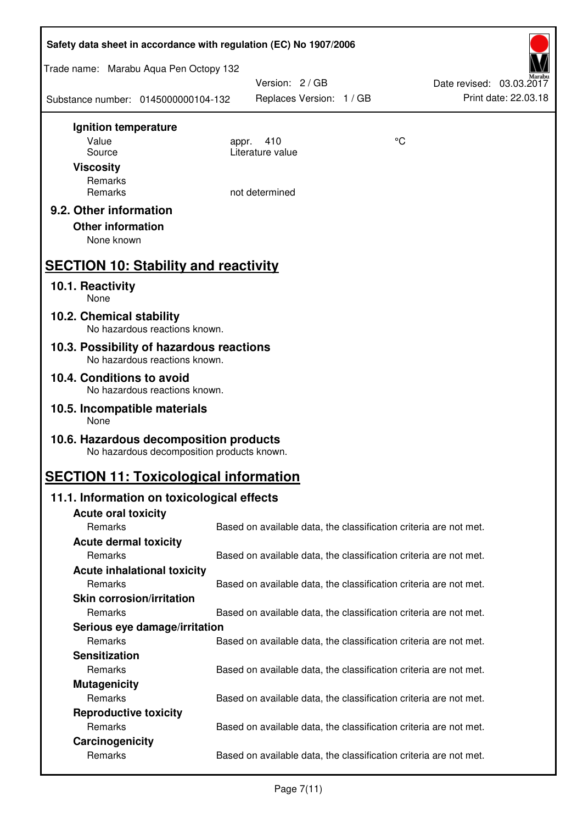| Safety data sheet in accordance with regulation (EC) No 1907/2006                    |                                                                   |    |                                                  |  |  |
|--------------------------------------------------------------------------------------|-------------------------------------------------------------------|----|--------------------------------------------------|--|--|
| Trade name: Marabu Aqua Pen Octopy 132                                               |                                                                   |    |                                                  |  |  |
| Substance number: 0145000000104-132                                                  | Version: 2 / GB<br>Replaces Version: 1 / GB                       |    | Date revised: 03.03.2017<br>Print date: 22.03.18 |  |  |
| Ignition temperature                                                                 |                                                                   |    |                                                  |  |  |
| Value<br>Source                                                                      | 410<br>appr.<br>Literature value                                  | °C |                                                  |  |  |
| <b>Viscosity</b>                                                                     |                                                                   |    |                                                  |  |  |
| Remarks                                                                              |                                                                   |    |                                                  |  |  |
| Remarks                                                                              | not determined                                                    |    |                                                  |  |  |
| 9.2. Other information<br><b>Other information</b><br>None known                     |                                                                   |    |                                                  |  |  |
| <b>SECTION 10: Stability and reactivity</b>                                          |                                                                   |    |                                                  |  |  |
| 10.1. Reactivity<br>None                                                             |                                                                   |    |                                                  |  |  |
| 10.2. Chemical stability<br>No hazardous reactions known.                            |                                                                   |    |                                                  |  |  |
| 10.3. Possibility of hazardous reactions<br>No hazardous reactions known.            |                                                                   |    |                                                  |  |  |
| 10.4. Conditions to avoid<br>No hazardous reactions known.                           |                                                                   |    |                                                  |  |  |
| 10.5. Incompatible materials<br>None                                                 |                                                                   |    |                                                  |  |  |
| 10.6. Hazardous decomposition products<br>No hazardous decomposition products known. |                                                                   |    |                                                  |  |  |
| <b>SECTION 11: Toxicological information</b>                                         |                                                                   |    |                                                  |  |  |
| 11.1. Information on toxicological effects                                           |                                                                   |    |                                                  |  |  |
| <b>Acute oral toxicity</b>                                                           |                                                                   |    |                                                  |  |  |
| Remarks                                                                              | Based on available data, the classification criteria are not met. |    |                                                  |  |  |
| <b>Acute dermal toxicity</b><br>Remarks                                              | Based on available data, the classification criteria are not met. |    |                                                  |  |  |
| <b>Acute inhalational toxicity</b>                                                   |                                                                   |    |                                                  |  |  |
| Remarks                                                                              | Based on available data, the classification criteria are not met. |    |                                                  |  |  |
| <b>Skin corrosion/irritation</b>                                                     |                                                                   |    |                                                  |  |  |
| Remarks                                                                              | Based on available data, the classification criteria are not met. |    |                                                  |  |  |
| Serious eye damage/irritation                                                        |                                                                   |    |                                                  |  |  |
| Remarks                                                                              | Based on available data, the classification criteria are not met. |    |                                                  |  |  |
| <b>Sensitization</b>                                                                 |                                                                   |    |                                                  |  |  |
| Remarks                                                                              | Based on available data, the classification criteria are not met. |    |                                                  |  |  |
| <b>Mutagenicity</b><br>Remarks                                                       |                                                                   |    |                                                  |  |  |
| <b>Reproductive toxicity</b>                                                         | Based on available data, the classification criteria are not met. |    |                                                  |  |  |
| Remarks                                                                              | Based on available data, the classification criteria are not met. |    |                                                  |  |  |
| Carcinogenicity                                                                      |                                                                   |    |                                                  |  |  |
| Remarks                                                                              | Based on available data, the classification criteria are not met. |    |                                                  |  |  |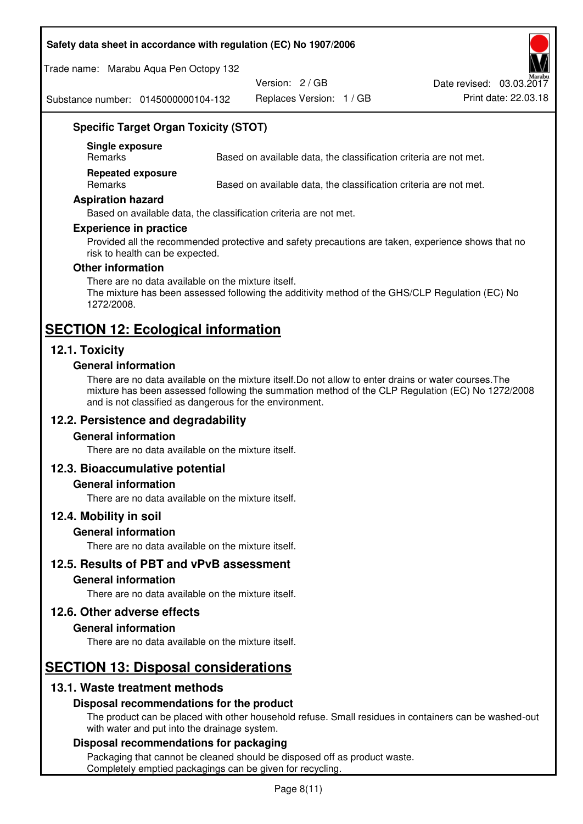#### **Safety data sheet in accordance with regulation (EC) No 1907/2006**

Trade name: Marabu Aqua Pen Octopy 132

Version: 2 / GB

Replaces Version: 1 / GB Print date: 22.03.18 Date revised: 03.03.2017

Substance number: 0145000000104-132

# **Specific Target Organ Toxicity (STOT)**

**Single exposure** 

Based on available data, the classification criteria are not met.

**Repeated exposure** 

Remarks Based on available data, the classification criteria are not met.

#### **Aspiration hazard**

Based on available data, the classification criteria are not met.

#### **Experience in practice**

Provided all the recommended protective and safety precautions are taken, experience shows that no risk to health can be expected.

#### **Other information**

There are no data available on the mixture itself. The mixture has been assessed following the additivity method of the GHS/CLP Regulation (EC) No 1272/2008.

# **SECTION 12: Ecological information**

# **12.1. Toxicity**

#### **General information**

There are no data available on the mixture itself.Do not allow to enter drains or water courses.The mixture has been assessed following the summation method of the CLP Regulation (EC) No 1272/2008 and is not classified as dangerous for the environment.

# **12.2. Persistence and degradability**

#### **General information**

There are no data available on the mixture itself.

#### **12.3. Bioaccumulative potential**

#### **General information**

There are no data available on the mixture itself.

#### **12.4. Mobility in soil**

#### **General information**

There are no data available on the mixture itself.

**12.5. Results of PBT and vPvB assessment** 

#### **General information**

There are no data available on the mixture itself.

#### **12.6. Other adverse effects**

#### **General information**

There are no data available on the mixture itself.

# **SECTION 13: Disposal considerations**

# **13.1. Waste treatment methods**

#### **Disposal recommendations for the product**

The product can be placed with other household refuse. Small residues in containers can be washed-out with water and put into the drainage system.

#### **Disposal recommendations for packaging**

Packaging that cannot be cleaned should be disposed off as product waste. Completely emptied packagings can be given for recycling.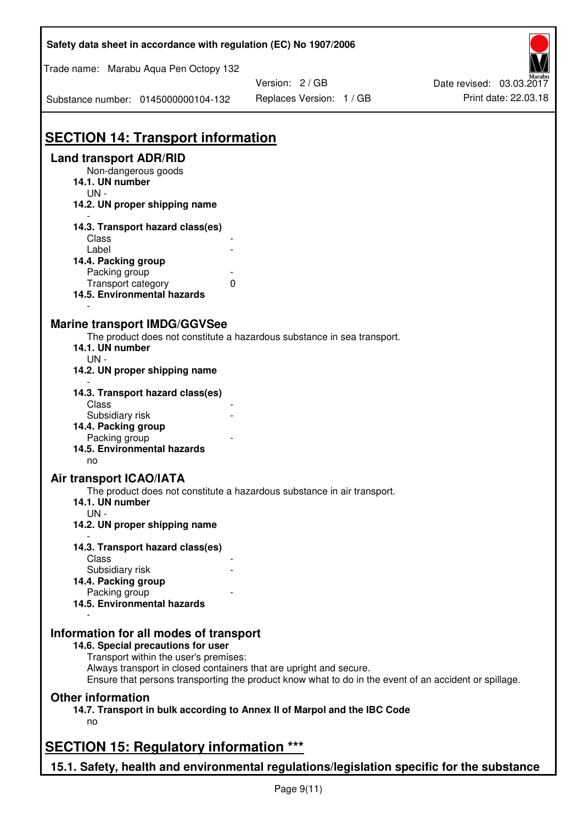| Safety data sheet in accordance with regulation (EC) No 1907/2006                                           |                                                                                                       |                          |  |  |  |
|-------------------------------------------------------------------------------------------------------------|-------------------------------------------------------------------------------------------------------|--------------------------|--|--|--|
| Trade name: Marabu Aqua Pen Octopy 132                                                                      |                                                                                                       |                          |  |  |  |
|                                                                                                             | Version: 2 / GB                                                                                       | Date revised: 03.03.2017 |  |  |  |
| Substance number: 0145000000104-132                                                                         | Replaces Version: 1 / GB                                                                              | Print date: 22.03.18     |  |  |  |
| <b>SECTION 14: Transport information</b>                                                                    |                                                                                                       |                          |  |  |  |
| <b>Land transport ADR/RID</b>                                                                               |                                                                                                       |                          |  |  |  |
| Non-dangerous goods<br>14.1. UN number<br>$UN -$                                                            |                                                                                                       |                          |  |  |  |
| 14.2. UN proper shipping name                                                                               |                                                                                                       |                          |  |  |  |
| 14.3. Transport hazard class(es)                                                                            |                                                                                                       |                          |  |  |  |
| Class                                                                                                       |                                                                                                       |                          |  |  |  |
| Label                                                                                                       |                                                                                                       |                          |  |  |  |
| 14.4. Packing group                                                                                         |                                                                                                       |                          |  |  |  |
| Packing group                                                                                               |                                                                                                       |                          |  |  |  |
| Transport category<br>0<br>14.5. Environmental hazards                                                      |                                                                                                       |                          |  |  |  |
|                                                                                                             |                                                                                                       |                          |  |  |  |
| <b>Marine transport IMDG/GGVSee</b>                                                                         |                                                                                                       |                          |  |  |  |
|                                                                                                             | The product does not constitute a hazardous substance in sea transport.                               |                          |  |  |  |
| 14.1. UN number                                                                                             |                                                                                                       |                          |  |  |  |
| $UN -$                                                                                                      |                                                                                                       |                          |  |  |  |
| 14.2. UN proper shipping name                                                                               |                                                                                                       |                          |  |  |  |
|                                                                                                             |                                                                                                       |                          |  |  |  |
| 14.3. Transport hazard class(es)                                                                            |                                                                                                       |                          |  |  |  |
| Class                                                                                                       |                                                                                                       |                          |  |  |  |
| Subsidiary risk                                                                                             |                                                                                                       |                          |  |  |  |
| 14.4. Packing group                                                                                         |                                                                                                       |                          |  |  |  |
| Packing group<br>14.5. Environmental hazards                                                                |                                                                                                       |                          |  |  |  |
| no                                                                                                          |                                                                                                       |                          |  |  |  |
| <b>Air transport ICAO/IATA</b>                                                                              |                                                                                                       |                          |  |  |  |
|                                                                                                             | The product does not constitute a hazardous substance in air transport.                               |                          |  |  |  |
| 14.1. UN number                                                                                             |                                                                                                       |                          |  |  |  |
| $UN -$                                                                                                      |                                                                                                       |                          |  |  |  |
| 14.2. UN proper shipping name                                                                               |                                                                                                       |                          |  |  |  |
| 14.3. Transport hazard class(es)                                                                            |                                                                                                       |                          |  |  |  |
| Class                                                                                                       |                                                                                                       |                          |  |  |  |
| Subsidiary risk                                                                                             |                                                                                                       |                          |  |  |  |
| 14.4. Packing group                                                                                         |                                                                                                       |                          |  |  |  |
| Packing group                                                                                               |                                                                                                       |                          |  |  |  |
| 14.5. Environmental hazards                                                                                 |                                                                                                       |                          |  |  |  |
|                                                                                                             |                                                                                                       |                          |  |  |  |
| Information for all modes of transport                                                                      |                                                                                                       |                          |  |  |  |
| 14.6. Special precautions for user                                                                          |                                                                                                       |                          |  |  |  |
| Transport within the user's premises:<br>Always transport in closed containers that are upright and secure. |                                                                                                       |                          |  |  |  |
|                                                                                                             | Ensure that persons transporting the product know what to do in the event of an accident or spillage. |                          |  |  |  |
| <b>Other information</b>                                                                                    |                                                                                                       |                          |  |  |  |
|                                                                                                             |                                                                                                       |                          |  |  |  |
| 14.7. Transport in bulk according to Annex II of Marpol and the IBC Code<br>no                              |                                                                                                       |                          |  |  |  |
|                                                                                                             |                                                                                                       |                          |  |  |  |
| <b>SECTION 15: Regulatory information ***</b>                                                               |                                                                                                       |                          |  |  |  |
|                                                                                                             |                                                                                                       |                          |  |  |  |
| 15.1. Safety, health and environmental regulations/legislation specific for the substance                   |                                                                                                       |                          |  |  |  |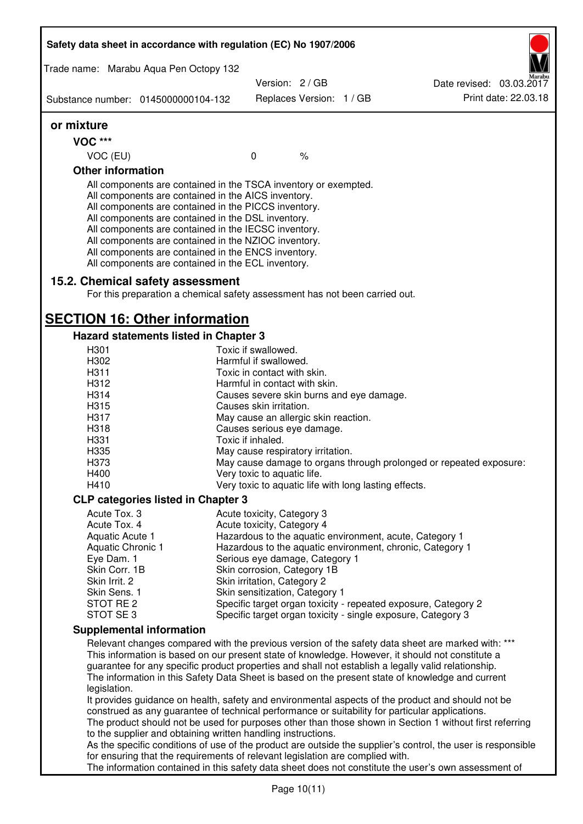|                                                                                                                                                                         | Safety data sheet in accordance with regulation (EC) No 1907/2006                                                                                                                                                                                                                                                                                                                                                                                                 |                                                            |                          |  |                                                                                                                                                                                                      |
|-------------------------------------------------------------------------------------------------------------------------------------------------------------------------|-------------------------------------------------------------------------------------------------------------------------------------------------------------------------------------------------------------------------------------------------------------------------------------------------------------------------------------------------------------------------------------------------------------------------------------------------------------------|------------------------------------------------------------|--------------------------|--|------------------------------------------------------------------------------------------------------------------------------------------------------------------------------------------------------|
|                                                                                                                                                                         | Trade name: Marabu Aqua Pen Octopy 132                                                                                                                                                                                                                                                                                                                                                                                                                            |                                                            |                          |  |                                                                                                                                                                                                      |
|                                                                                                                                                                         |                                                                                                                                                                                                                                                                                                                                                                                                                                                                   | Version: 2 / GB                                            |                          |  | Date revised: 03.03.2017                                                                                                                                                                             |
|                                                                                                                                                                         | Substance number: 0145000000104-132                                                                                                                                                                                                                                                                                                                                                                                                                               |                                                            | Replaces Version: 1 / GB |  | Print date: 22.03.18                                                                                                                                                                                 |
| or mixture                                                                                                                                                              |                                                                                                                                                                                                                                                                                                                                                                                                                                                                   |                                                            |                          |  |                                                                                                                                                                                                      |
| <b>VOC ***</b>                                                                                                                                                          |                                                                                                                                                                                                                                                                                                                                                                                                                                                                   |                                                            |                          |  |                                                                                                                                                                                                      |
| VOC (EU)                                                                                                                                                                |                                                                                                                                                                                                                                                                                                                                                                                                                                                                   | $\mathbf 0$                                                | $\%$                     |  |                                                                                                                                                                                                      |
| <b>Other information</b>                                                                                                                                                |                                                                                                                                                                                                                                                                                                                                                                                                                                                                   |                                                            |                          |  |                                                                                                                                                                                                      |
|                                                                                                                                                                         | All components are contained in the TSCA inventory or exempted.<br>All components are contained in the AICS inventory.<br>All components are contained in the PICCS inventory.<br>All components are contained in the DSL inventory.<br>All components are contained in the IECSC inventory.<br>All components are contained in the NZIOC inventory.<br>All components are contained in the ENCS inventory.<br>All components are contained in the ECL inventory. |                                                            |                          |  |                                                                                                                                                                                                      |
|                                                                                                                                                                         | 15.2. Chemical safety assessment<br>For this preparation a chemical safety assessment has not been carried out.                                                                                                                                                                                                                                                                                                                                                   |                                                            |                          |  |                                                                                                                                                                                                      |
|                                                                                                                                                                         | <b>SECTION 16: Other information</b>                                                                                                                                                                                                                                                                                                                                                                                                                              |                                                            |                          |  |                                                                                                                                                                                                      |
|                                                                                                                                                                         | Hazard statements listed in Chapter 3                                                                                                                                                                                                                                                                                                                                                                                                                             |                                                            |                          |  |                                                                                                                                                                                                      |
| H301<br>H302                                                                                                                                                            |                                                                                                                                                                                                                                                                                                                                                                                                                                                                   | Toxic if swallowed.<br>Harmful if swallowed.               |                          |  |                                                                                                                                                                                                      |
| H311                                                                                                                                                                    |                                                                                                                                                                                                                                                                                                                                                                                                                                                                   | Toxic in contact with skin.                                |                          |  |                                                                                                                                                                                                      |
| H312                                                                                                                                                                    |                                                                                                                                                                                                                                                                                                                                                                                                                                                                   | Harmful in contact with skin.                              |                          |  |                                                                                                                                                                                                      |
| H314                                                                                                                                                                    |                                                                                                                                                                                                                                                                                                                                                                                                                                                                   | Causes severe skin burns and eye damage.                   |                          |  |                                                                                                                                                                                                      |
| H315                                                                                                                                                                    |                                                                                                                                                                                                                                                                                                                                                                                                                                                                   | Causes skin irritation.                                    |                          |  |                                                                                                                                                                                                      |
| H317                                                                                                                                                                    |                                                                                                                                                                                                                                                                                                                                                                                                                                                                   | May cause an allergic skin reaction.                       |                          |  |                                                                                                                                                                                                      |
| H318                                                                                                                                                                    |                                                                                                                                                                                                                                                                                                                                                                                                                                                                   | Causes serious eye damage.                                 |                          |  |                                                                                                                                                                                                      |
| H331                                                                                                                                                                    |                                                                                                                                                                                                                                                                                                                                                                                                                                                                   | Toxic if inhaled.                                          |                          |  |                                                                                                                                                                                                      |
| H335<br>H373                                                                                                                                                            |                                                                                                                                                                                                                                                                                                                                                                                                                                                                   | May cause respiratory irritation.                          |                          |  | May cause damage to organs through prolonged or repeated exposure:                                                                                                                                   |
| H400                                                                                                                                                                    |                                                                                                                                                                                                                                                                                                                                                                                                                                                                   | Very toxic to aquatic life.                                |                          |  |                                                                                                                                                                                                      |
| H410                                                                                                                                                                    |                                                                                                                                                                                                                                                                                                                                                                                                                                                                   | Very toxic to aquatic life with long lasting effects.      |                          |  |                                                                                                                                                                                                      |
|                                                                                                                                                                         | <b>CLP categories listed in Chapter 3</b>                                                                                                                                                                                                                                                                                                                                                                                                                         |                                                            |                          |  |                                                                                                                                                                                                      |
| Acute Tox. 3                                                                                                                                                            |                                                                                                                                                                                                                                                                                                                                                                                                                                                                   | Acute toxicity, Category 3                                 |                          |  |                                                                                                                                                                                                      |
| Acute Tox. 4                                                                                                                                                            |                                                                                                                                                                                                                                                                                                                                                                                                                                                                   | Acute toxicity, Category 4                                 |                          |  |                                                                                                                                                                                                      |
| <b>Aquatic Acute 1</b>                                                                                                                                                  |                                                                                                                                                                                                                                                                                                                                                                                                                                                                   |                                                            |                          |  | Hazardous to the aquatic environment, acute, Category 1                                                                                                                                              |
| Aquatic Chronic 1                                                                                                                                                       |                                                                                                                                                                                                                                                                                                                                                                                                                                                                   |                                                            |                          |  | Hazardous to the aquatic environment, chronic, Category 1                                                                                                                                            |
| Eye Dam. 1                                                                                                                                                              |                                                                                                                                                                                                                                                                                                                                                                                                                                                                   | Serious eye damage, Category 1                             |                          |  |                                                                                                                                                                                                      |
| Skin Corr. 1B<br>Skin Irrit. 2                                                                                                                                          |                                                                                                                                                                                                                                                                                                                                                                                                                                                                   | Skin corrosion, Category 1B<br>Skin irritation, Category 2 |                          |  |                                                                                                                                                                                                      |
| Skin Sens. 1                                                                                                                                                            |                                                                                                                                                                                                                                                                                                                                                                                                                                                                   | Skin sensitization, Category 1                             |                          |  |                                                                                                                                                                                                      |
| STOT RE 2                                                                                                                                                               |                                                                                                                                                                                                                                                                                                                                                                                                                                                                   |                                                            |                          |  | Specific target organ toxicity - repeated exposure, Category 2                                                                                                                                       |
| STOT SE 3                                                                                                                                                               |                                                                                                                                                                                                                                                                                                                                                                                                                                                                   |                                                            |                          |  | Specific target organ toxicity - single exposure, Category 3                                                                                                                                         |
|                                                                                                                                                                         | <b>Supplemental information</b>                                                                                                                                                                                                                                                                                                                                                                                                                                   |                                                            |                          |  |                                                                                                                                                                                                      |
|                                                                                                                                                                         |                                                                                                                                                                                                                                                                                                                                                                                                                                                                   |                                                            |                          |  | Relevant changes compared with the previous version of the safety data sheet are marked with: ***                                                                                                    |
| legislation.                                                                                                                                                            | guarantee for any specific product properties and shall not establish a legally valid relationship.                                                                                                                                                                                                                                                                                                                                                               |                                                            |                          |  | This information is based on our present state of knowledge. However, it should not constitute a<br>The information in this Safety Data Sheet is based on the present state of knowledge and current |
|                                                                                                                                                                         | construed as any guarantee of technical performance or suitability for particular applications.                                                                                                                                                                                                                                                                                                                                                                   |                                                            |                          |  | It provides guidance on health, safety and environmental aspects of the product and should not be                                                                                                    |
| The product should not be used for purposes other than those shown in Section 1 without first referring<br>to the supplier and obtaining written handling instructions. |                                                                                                                                                                                                                                                                                                                                                                                                                                                                   |                                                            |                          |  |                                                                                                                                                                                                      |
| As the specific conditions of use of the product are outside the supplier's control, the user is responsible                                                            |                                                                                                                                                                                                                                                                                                                                                                                                                                                                   |                                                            |                          |  |                                                                                                                                                                                                      |
|                                                                                                                                                                         | for ensuring that the requirements of relevant legislation are complied with.                                                                                                                                                                                                                                                                                                                                                                                     |                                                            |                          |  | The information contained in this safety data sheet does not constitute the user's own assessment of                                                                                                 |